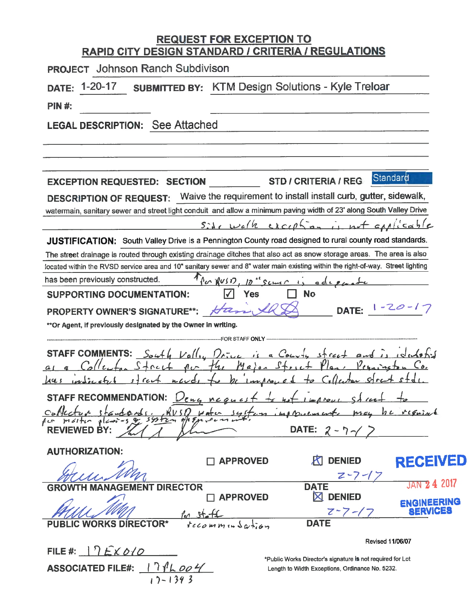# REQUEST FOR EXCEPTION TO<br>RAPID CITY DESIGN STANDARD / CRITERIA / REGULATIONS

| <b>PROJECT</b> Johnson Ranch Subdivison                                                                                         |
|---------------------------------------------------------------------------------------------------------------------------------|
| <b>SUBMITTED BY:</b> KTM Design Solutions - Kyle Treloar<br>$1 - 20 - 17$<br><b>DATE:</b>                                       |
| <b>PIN #:</b>                                                                                                                   |
| <b>LEGAL DESCRIPTION: See Attached</b>                                                                                          |
|                                                                                                                                 |
|                                                                                                                                 |
| Standard<br><b>STD / CRITERIA / REG</b><br><b>EXCEPTION REQUESTED: SECTION</b>                                                  |
| DESCRIPTION OF REQUEST: Waive the requirement to install install curb, gutter, sidewalk,                                        |
| watermain, sanitary sewer and street light conduit and allow a minimum paving width of 23' along South Valley Drive             |
| $s$ ile welk exception is not applicable                                                                                        |
| <b>JUSTIFICATION:</b> South Valley Drive is a Pennington County road designed to rural county road standards.                   |
| The street drainage is routed through existing drainage ditches that also act as snow storage areas. The area is also           |
| located within the RVSD service area and 10" sanitary sewer and 8" water main existing within the right-of-way. Street lighting |
| Then RUSD, 10" scure is add<br>has been previously constructed.                                                                 |
| <b>SUPPORTING DOCUMENTATION:</b><br><b>No</b><br>Yes                                                                            |
| DATE: $1 - 20 - 17$<br>PROPERTY OWNER'S SIGNATURE**:<br>Ha                                                                      |
| ** Or Agent, if previously designated by the Owner in writing.                                                                  |
| FOR STAFF <b>ONLY</b>                                                                                                           |
| <b>STAFF COMMENTS:</b><br>$S_{\alpha+1}$ $Va($                                                                                  |
|                                                                                                                                 |
| rcu<br>s f                                                                                                                      |
| STAFF RECOMMENDATION: $\nu_{eng}$ neen                                                                                          |
|                                                                                                                                 |
|                                                                                                                                 |
| DATE: $2 - 7$<br><b>REVIEWED BY:</b>                                                                                            |
| <b>AUTHORIZATION:</b>                                                                                                           |
| <b>RECEIVED</b><br><b>K DENIED</b><br><b>APPROVED</b>                                                                           |
|                                                                                                                                 |
| <b>JAN 24 2017</b><br><b>DATE</b><br><b>MENT DIRECTOR</b><br>GF                                                                 |
| $\boxtimes$ DENIED<br><b>APPROVED</b><br><b>ENGINEERING</b>                                                                     |
| SERVIC<br>$z - 7 - 1$<br><b>DATE</b>                                                                                            |
| tecomministic<br><b>ORKS DIRECTOR*</b>                                                                                          |
| <b>Revised 11/06/07</b>                                                                                                         |
| FILE #: $\bigcap E \times 0$ / $\bigcirc$<br>dada aignatura io nat raguirad far l                                               |

ASSOCIATED FILE#:  $171L004$ 

"Public Works Director's signature is not required for Lot Length to Width Exceptions, Ordinance No. 5232.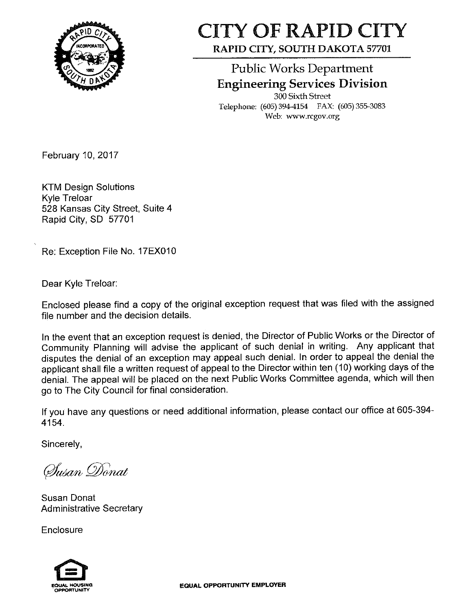

## **CITY OF RAPID CITY** RAPID CITY, SOUTH DAKOTA 57701

**Public Works Department Engineering Services Division** 

300 Sixth Street Telephone: (605) 394-4154 FAX: (605) 355-3083 Web: www.rcgov.org

February 10, 2017

**KTM Design Solutions Kyle Treloar** 528 Kansas City Street, Suite 4 Rapid City, SD 57701

Re: Exception File No. 17EX010

Dear Kyle Treloar:

Enclosed please find a copy of the original exception request that was filed with the assigned file number and the decision details.

In the event that an exception request is denied, the Director of Public Works or the Director of Community Planning will advise the applicant of such denial in writing. Any applicant that disputes the denial of an exception may appeal such denial. In order to appeal the denial the applicant shall file a written request of appeal to the Director within ten (10) working days of the denial. The appeal will be placed on the next Public Works Committee agenda, which will then go to The City Council for final consideration.

If you have any questions or need additional information, please contact our office at 605-394-4154.

Sincerely,

Susan Donat

Susan Donat **Administrative Secretary** 

Enclosure

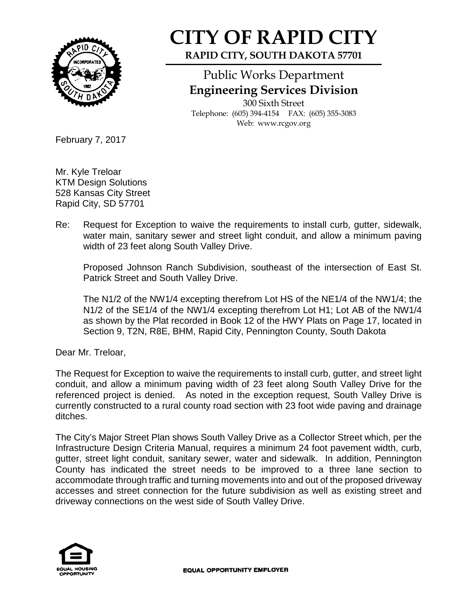

## **CITY OF RAPID CITY**

**RAPID CITY, SOUTH DAKOTA 57701**

### Public Works Department **Engineering Services Division**

300 Sixth Street Telephone: (605) 394-4154 FAX: (605) 355-3083 Web: www.rcgov.org

February 7, 2017

Mr. Kyle Treloar KTM Design Solutions 528 Kansas City Street Rapid City, SD 57701

Re: Request for Exception to waive the requirements to install curb, gutter, sidewalk, water main, sanitary sewer and street light conduit, and allow a minimum paving width of 23 feet along South Valley Drive.

Proposed Johnson Ranch Subdivision, southeast of the intersection of East St. Patrick Street and South Valley Drive.

The N1/2 of the NW1/4 excepting therefrom Lot HS of the NE1/4 of the NW1/4; the N1/2 of the SE1/4 of the NW1/4 excepting therefrom Lot H1; Lot AB of the NW1/4 as shown by the Plat recorded in Book 12 of the HWY Plats on Page 17, located in Section 9, T2N, R8E, BHM, Rapid City, Pennington County, South Dakota

Dear Mr. Treloar,

The Request for Exception to waive the requirements to install curb, gutter, and street light conduit, and allow a minimum paving width of 23 feet along South Valley Drive for the referenced project is denied. As noted in the exception request, South Valley Drive is currently constructed to a rural county road section with 23 foot wide paving and drainage ditches.

The City's Major Street Plan shows South Valley Drive as a Collector Street which, per the Infrastructure Design Criteria Manual, requires a minimum 24 foot pavement width, curb, gutter, street light conduit, sanitary sewer, water and sidewalk. In addition, Pennington County has indicated the street needs to be improved to a three lane section to accommodate through traffic and turning movements into and out of the proposed driveway accesses and street connection for the future subdivision as well as existing street and driveway connections on the west side of South Valley Drive.

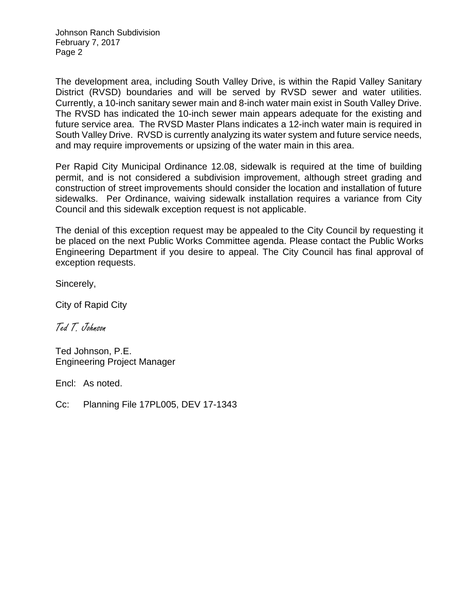Johnson Ranch Subdivision February 7, 2017 Page 2

The development area, including South Valley Drive, is within the Rapid Valley Sanitary District (RVSD) boundaries and will be served by RVSD sewer and water utilities. Currently, a 10-inch sanitary sewer main and 8-inch water main exist in South Valley Drive. The RVSD has indicated the 10-inch sewer main appears adequate for the existing and future service area. The RVSD Master Plans indicates a 12-inch water main is required in South Valley Drive. RVSD is currently analyzing its water system and future service needs, and may require improvements or upsizing of the water main in this area.

Per Rapid City Municipal Ordinance 12.08, sidewalk is required at the time of building permit, and is not considered a subdivision improvement, although street grading and construction of street improvements should consider the location and installation of future sidewalks. Per Ordinance, waiving sidewalk installation requires a variance from City Council and this sidewalk exception request is not applicable.

The denial of this exception request may be appealed to the City Council by requesting it be placed on the next Public Works Committee agenda. Please contact the Public Works Engineering Department if you desire to appeal. The City Council has final approval of exception requests.

Sincerely,

City of Rapid City

Ted T. Johnson

Ted Johnson, P.E. Engineering Project Manager

Encl: As noted.

Cc: Planning File 17PL005, DEV 17-1343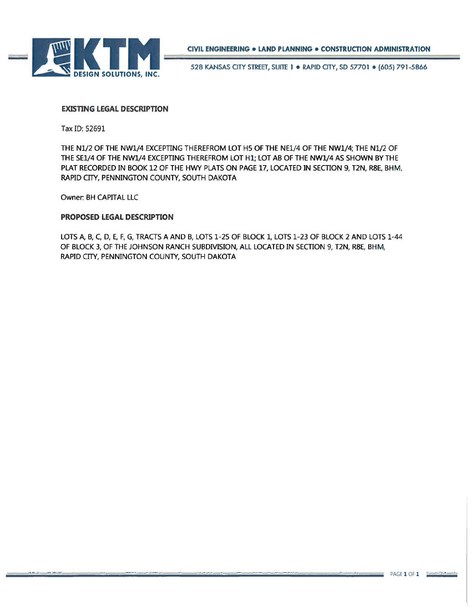

528 KANSAS CITY STREET, SUITE 1 . RAPID CITY, SD 57701 . (605) 791-5866

#### **EXISTING LEGAL DESCRIPTION**

Tax ID: 52691

THE N1/2 OF THE NW1/4 EXCEPTING THEREFROM LOT H5 OF THE NE1/4 OF THE NW1/4; THE N1/2 OF THE SE1/4 OF THE NW1/4 EXCEPTING THEREFROM LOT H1; LOT AB OF THE NW1/4 AS SHOWN BY THE PLAT RECORDED IN BOOK 12 OF THE HWY PLATS ON PAGE 17, LOCATED IN SECTION 9, T2N, R8E, BHM, RAPID CITY, PENNINGTON COUNTY, SOUTH DAKOTA

Owner: BH CAPITAL LLC

#### PROPOSED LEGAL DESCRIPTION

LOTS A, B, C, D, E, F, G, TRACTS A AND B, LOTS 1-25 OF BLOCK 1, LOTS 1-23 OF BLOCK 2 AND LOTS 1-44 OF BLOCK 3, OF THE JOHNSON RANCH SUBDIVISION, ALL LOCATED IN SECTION 9, T2N, R8E, BHM, RAPID CITY, PENNINGTON COUNTY, SOUTH DAKOTA